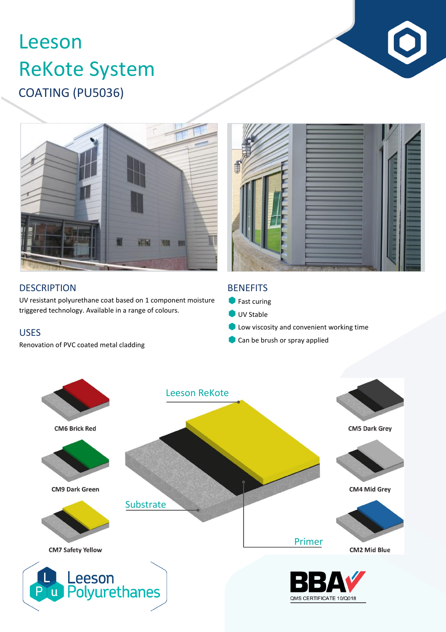# COATING (PU5036) Leeson ReKote System





## **DESCRIPTION**

UV resistant polyurethane coat based on 1 component moisture triggered technology. Available in a range of colours.

### USES

Renovation of PVC coated metal cladding

### **BENEFITS**

- **Fast curing**
- UV Stable
- **C** Low viscosity and convenient working time
- Can be brush or spray applied